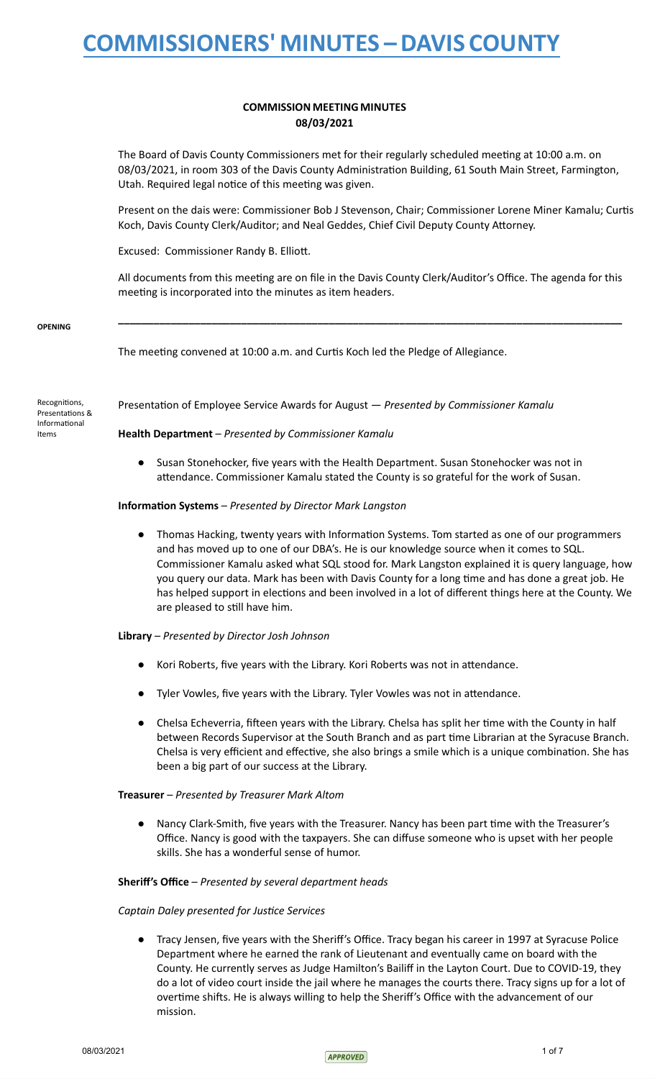# **COMMISSION MEETING MINUTES** 08/03/2021

The Board of Davis County Commissioners met for their regularly scheduled meeting at 10:00 a.m. on 08/03/2021, in room 303 of the Davis County Administration Building, 61 South Main Street, Farmington, Utah. Required legal notice of this meeting was given.

Present on the dais were: Commissioner Bob J Stevenson, Chair; Commissioner Lorene Miner Kamalu; Curtis Koch, Davis County Clerk/Auditor; and Neal Geddes, Chief Civil Deputy County Attorney.

Excused: Commissioner Randy B. Elliott.

All documents from this meeting are on file in the Davis County Clerk/Auditor's Office. The agenda for this meeting is incorporated into the minutes as item headers.

**\_\_\_\_\_\_\_\_\_\_\_\_\_\_\_\_\_\_\_\_\_\_\_\_\_\_\_\_\_\_\_\_\_\_\_\_\_\_\_\_\_\_\_\_\_\_\_\_\_\_\_\_\_\_\_\_\_\_\_\_\_\_\_\_\_\_\_\_\_\_\_\_\_\_\_\_\_\_\_\_\_\_\_\_\_\_**

#### **OPENING**

The meeting convened at 10:00 a.m. and Curtis Koch led the Pledge of Allegiance.

Recognitions, Presentations & Informational Items

Presentation of Employee Service Awards for August — *Presented by Commissioner Kamalu*

**Health Department** – *Presented by Commissioner Kamalu*

● Susan Stonehocker, five years with the Health Department. Susan Stonehocker was not in attendance. Commissioner Kamalu stated the County is so grateful for the work of Susan.

### **Information Systems** – *Presented by Director Mark Langston*

Thomas Hacking, twenty years with Information Systems. Tom started as one of our programmers and has moved up to one of our DBA's. He is our knowledge source when it comes to SQL. Commissioner Kamalu asked what SQL stood for. Mark Langston explained it is query language, how you query our data. Mark has been with Davis County for a long time and has done a great job. He has helped support in elections and been involved in a lot of different things here at the County. We are pleased to still have him.

### **Library** – *Presented by Director Josh Johnson*

- Kori Roberts, five years with the Library. Kori Roberts was not in attendance.
- Tyler Vowles, five years with the Library. Tyler Vowles was not in attendance.
- Chelsa Echeverria, fifteen years with the Library. Chelsa has split her time with the County in half between Records Supervisor at the South Branch and as part time Librarian at the Syracuse Branch. Chelsa is very efficient and effective, she also brings a smile which is a unique combination. She has been a big part of our success at the Library.

# **Treasurer** – *Presented by Treasurer Mark Altom*

Nancy Clark-Smith, five years with the Treasurer. Nancy has been part time with the Treasurer's Office. Nancy is good with the taxpayers. She can diffuse someone who is upset with her people skills. She has a wonderful sense of humor.

# **Sheriff's Office** – *Presented by several department heads*

### *Captain Daley presented for Justice Services*

Tracy Jensen, five years with the Sheriff's Office. Tracy began his career in 1997 at Syracuse Police Department where he earned the rank of Lieutenant and eventually came on board with the County. He currently serves as Judge Hamilton's Bailiff in the Layton Court. Due to COVID-19, they do a lot of video court inside the jail where he manages the courts there. Tracy signs up for a lot of overtime shifts. He is always willing to help the Sheriff's Office with the advancement of our mission.

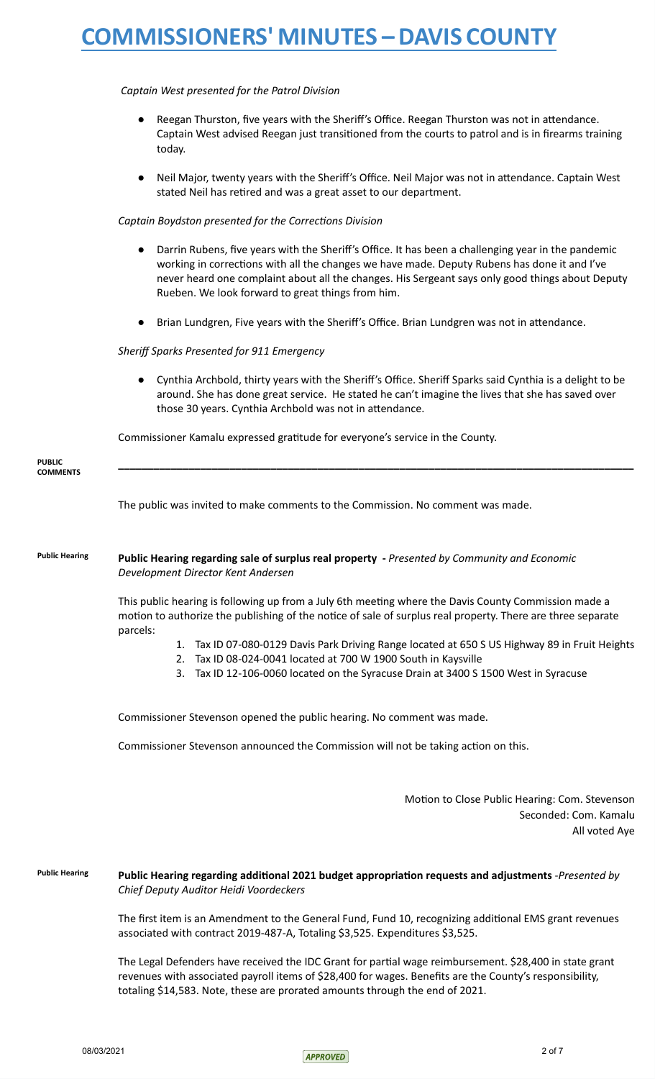# *Captain West presented for the Patrol Division*

- Reegan Thurston, five years with the Sheriff's Office. Reegan Thurston was not in attendance. Captain West advised Reegan just transitioned from the courts to patrol and is in firearms training today.
- Neil Major, twenty years with the Sheriff's Office. Neil Major was not in attendance. Captain West stated Neil has retired and was a great asset to our department.

*Captain Boydston presented for the Corrections Division*

- Darrin Rubens, five years with the Sheriff's Office. It has been a challenging year in the pandemic working in corrections with all the changes we have made. Deputy Rubens has done it and I've never heard one complaint about all the changes. His Sergeant says only good things about Deputy Rueben. We look forward to great things from him.
- Brian Lundgren, Five years with the Sheriff's Office. Brian Lundgren was not in attendance.

### *Sheriff Sparks Presented for 911 Emergency*

● Cynthia Archbold, thirty years with the Sheriff's Office. Sheriff Sparks said Cynthia is a delight to be around. She has done great service. He stated he can't imagine the lives that she has saved over those 30 years. Cynthia Archbold was not in attendance.

Commissioner Kamalu expressed gratitude for everyone's service in the County.

| <b>PUBLIC</b><br><b>COMMENTS</b> |                                                                                                                                                                                                                                 |
|----------------------------------|---------------------------------------------------------------------------------------------------------------------------------------------------------------------------------------------------------------------------------|
|                                  | The public was invited to make comments to the Commission. No comment was made.                                                                                                                                                 |
| <b>Public Hearing</b>            | Public Hearing regarding sale of surplus real property - Presented by Community and Economic<br>Development Director Kent Andersen                                                                                              |
|                                  | This public hearing is following up from a July 6th meeting where the Davis County Commission made a<br>motion to authorize the publishing of the notice of sale of surplus real property. There are three separate<br>parcels: |
|                                  | Tax ID 07-080-0129 Davis Park Driving Range located at 650 S US Highway 89 in Fruit Heights                                                                                                                                     |
|                                  | Tax ID 08-024-0041 located at 700 W 1900 South in Kaysville<br>2.                                                                                                                                                               |
|                                  | Tax ID 12-106-0060 located on the Syracuse Drain at 3400 S 1500 West in Syracuse<br>3.                                                                                                                                          |
|                                  |                                                                                                                                                                                                                                 |

Commissioner Stevenson opened the public hearing. No comment was made.

Commissioner Stevenson announced the Commission will not be taking action on this.

Motion to Close Public Hearing: Com. Stevenson Seconded: Com. Kamalu All voted Aye

**Public Hearing Public Hearing regarding additional 2021 budget appropriation requests and adjustments** -*Presented by Chief Deputy Auditor Heidi Voordeckers*

> The first item is an Amendment to the General Fund, Fund 10, recognizing additional EMS grant revenues associated with contract 2019-487-A, Totaling \$3,525. Expenditures \$3,525.

> The Legal Defenders have received the IDC Grant for partial wage reimbursement. \$28,400 in state grant revenues with associated payroll items of \$28,400 for wages. Benefits are the County's responsibility, totaling \$14,583. Note, these are prorated amounts through the end of 2021.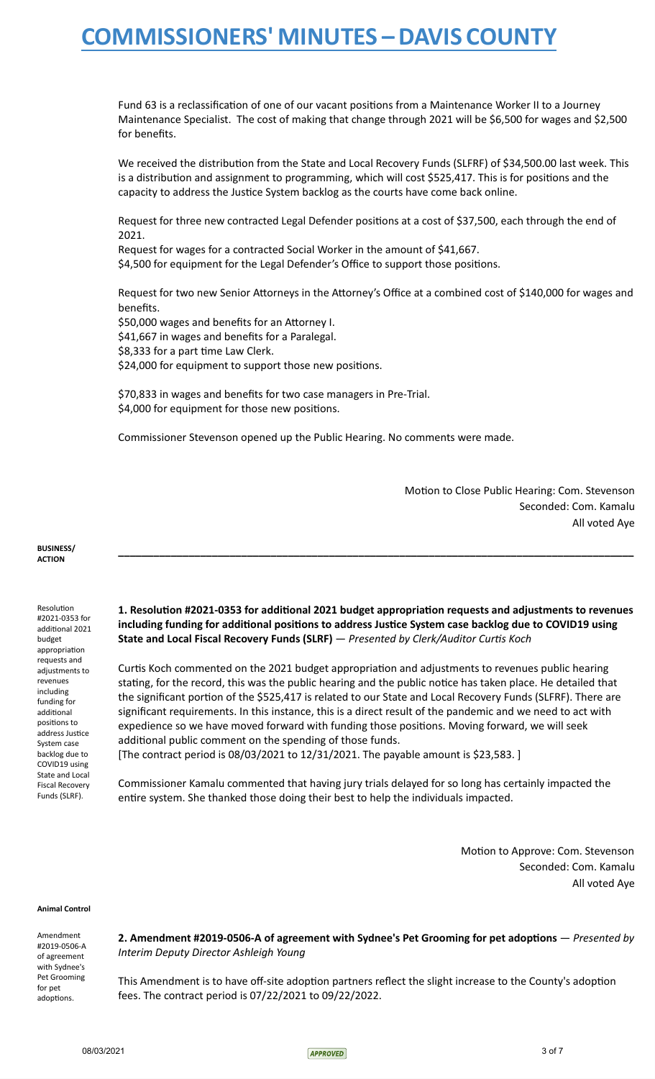Fund 63 is a reclassification of one of our vacant positions from a Maintenance Worker II to a Journey Maintenance Specialist. The cost of making that change through 2021 will be \$6,500 for wages and \$2,500 for benefits.

We received the distribution from the State and Local Recovery Funds (SLFRF) of \$34,500.00 last week. This is a distribution and assignment to programming, which will cost \$525,417. This is for positions and the capacity to address the Justice System backlog as the courts have come back online.

Request for three new contracted Legal Defender positions at a cost of \$37,500, each through the end of 2021.

Request for wages for a contracted Social Worker in the amount of \$41,667. \$4,500 for equipment for the Legal Defender's Office to support those positions.

Request for two new Senior Attorneys in the Attorney's Office at a combined cost of \$140,000 for wages and benefits.

\$50,000 wages and benefits for an Attorney I. \$41,667 in wages and benefits for a Paralegal. \$8,333 for a part time Law Clerk. \$24,000 for equipment to support those new positions.

\$70,833 in wages and benefits for two case managers in Pre-Trial. \$4,000 for equipment for those new positions.

Commissioner Stevenson opened up the Public Hearing. No comments were made.

Motion to Close Public Hearing: Com. Stevenson Seconded: Com. Kamalu All voted Aye

**BUSINESS/ ACTION**

Resolution #2021-0353 for additional 2021 budget appropriation requests and adjustments to revenues including funding for additional positions to address Justice System case backlog due to COVID19 using State and Local Fiscal Recovery Funds (SLRF).

**1. Resolution #2021-0353 for additional 2021 budget appropriation requests and adjustments to revenues including funding for additional positions to address Justice System case backlog due to COVID19 using State and Local Fiscal Recovery Funds (SLRF)** — *Presented by Clerk/Auditor Curtis Koch*

**\_\_\_\_\_\_\_\_\_\_\_\_\_\_\_\_\_\_\_\_\_\_\_\_\_\_\_\_\_\_\_\_\_\_\_\_\_\_\_\_\_\_\_\_\_\_\_\_\_\_\_\_\_\_\_\_\_\_\_\_\_\_\_\_\_\_\_\_\_\_\_\_\_\_\_\_\_\_\_\_\_\_\_\_\_\_\_\_**

Curtis Koch commented on the 2021 budget appropriation and adjustments to revenues public hearing stating, for the record, this was the public hearing and the public notice has taken place. He detailed that the significant portion of the \$525,417 is related to our State and Local Recovery Funds (SLFRF). There are significant requirements. In this instance, this is a direct result of the pandemic and we need to act with expedience so we have moved forward with funding those positions. Moving forward, we will seek additional public comment on the spending of those funds.

[The contract period is 08/03/2021 to 12/31/2021. The payable amount is \$23,583. ]

Commissioner Kamalu commented that having jury trials delayed for so long has certainly impacted the entire system. She thanked those doing their best to help the individuals impacted.

> Motion to Approve: Com. Stevenson Seconded: Com. Kamalu All voted Aye

**Animal Control**

Amendment #2019-0506-A of agreement with Sydnee's Pet Grooming for pet adoptions.

**2. Amendment #2019-0506-A of agreement with Sydnee's Pet Grooming for pet adoptions** — *Presented by Interim Deputy Director Ashleigh Young*

This Amendment is to have off-site adoption partners reflect the slight increase to the County's adoption fees. The contract period is 07/22/2021 to 09/22/2022.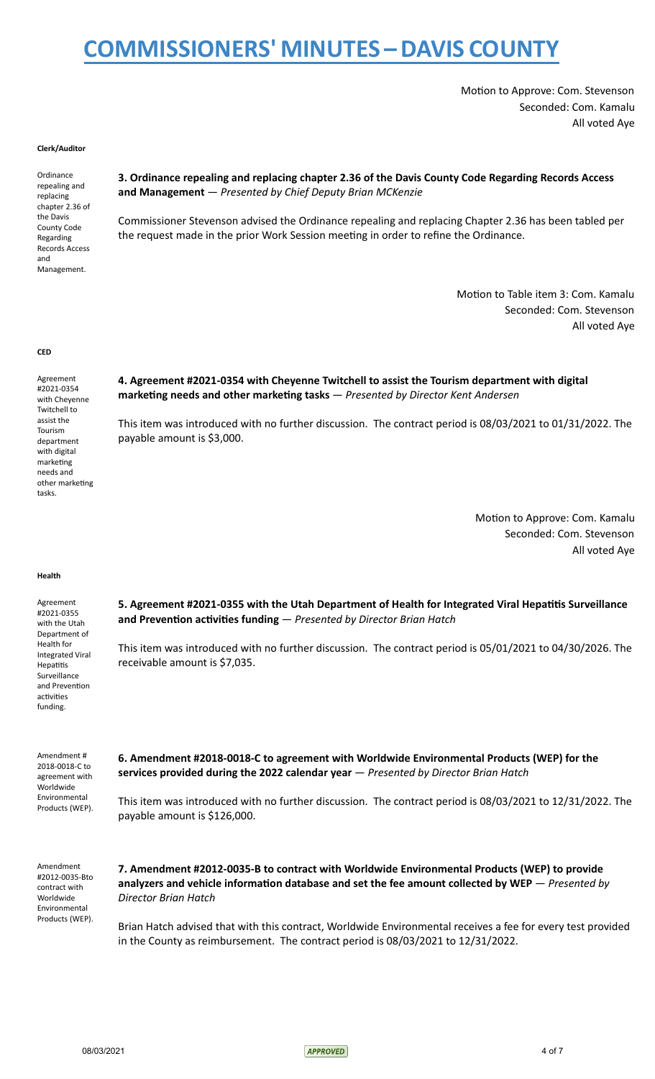Motion to Approve: Com. Stevenson Seconded: Com. Kamalu All voted Aye

#### **Clerk/Auditor**

Ordinance repealing and replacing chapter 2.36 of the Davis County Code Regarding Records Access and Management.

## **3. Ordinance repealing and replacing chapter 2.36 of the Davis County Code Regarding Records Access and Management** — *Presented by Chief Deputy Brian MCKenzie*

Commissioner Stevenson advised the Ordinance repealing and replacing Chapter 2.36 has been tabled per the request made in the prior Work Session meeting in order to refine the Ordinance.

> Motion to Table item 3: Com. Kamalu Seconded: Com. Stevenson All voted Aye

#### **CED**

Agreement #2021-0354 with Cheyenne Twitchell to assist the Tourism department with digital marketing needs and other marketing tasks.

**4. Agreement #2021-0354 with Cheyenne Twitchell to assist the Tourism department with digital marketing needs and other marketing tasks** — *Presented by Director Kent Andersen*

This item was introduced with no further discussion. The contract period is 08/03/2021 to 01/31/2022. The payable amount is \$3,000.

> Motion to Approve: Com. Kamalu Seconded: Com. Stevenson All voted Aye

### **Health**

Agreement #2021-0355 with the Utah Department of Health for Integrated Viral Hepatitis Surveillance and Prevention activities funding.

**5. Agreement #2021-0355 with the Utah Department of Health for Integrated Viral Hepatitis Surveillance and Prevention activities funding** — *Presented by Director Brian Hatch*

This item was introduced with no further discussion. The contract period is 05/01/2021 to 04/30/2026. The receivable amount is \$7,035.

Amendment # 2018-0018-C to agreement with Worldwide Environmental Products (WEP). **6. Amendment #2018-0018-C to agreement with Worldwide Environmental Products (WEP) for the services provided during the 2022 calendar year** — *Presented by Director Brian Hatch*

This item was introduced with no further discussion. The contract period is 08/03/2021 to 12/31/2022. The payable amount is \$126,000.

Amendment #2012-0035-Bto contract with Worldwide Environmental Products (WEP).

**7. Amendment #2012-0035-B to contract with Worldwide Environmental Products (WEP) to provide analyzers and vehicle information database and set the fee amount collected by WEP** — *Presented by Director Brian Hatch*

Brian Hatch advised that with this contract, Worldwide Environmental receives a fee for every test provided in the County as reimbursement. The contract period is 08/03/2021 to 12/31/2022.

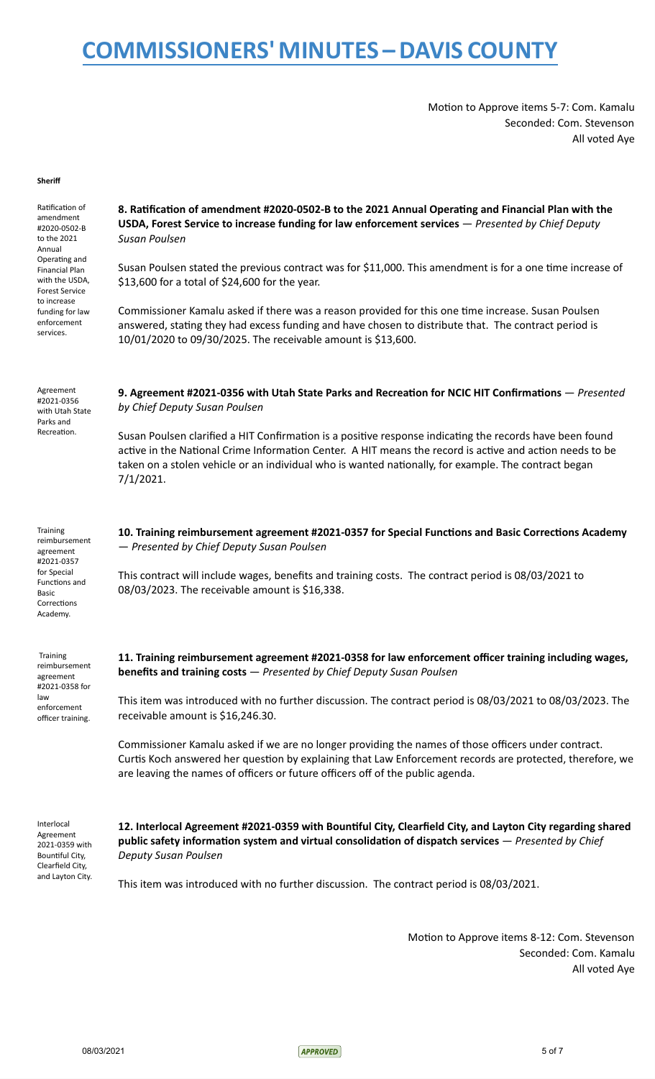Motion to Approve items 5-7: Com. Kamalu Seconded: Com. Stevenson All voted Aye

#### **Sheriff**

Ratification of amendment #2020-0502-B to the 2021 Annual Operating and Financial Plan with the USDA, Forest Service to increase funding for law enforcement services.

Agreement #2021-0356 with Utah State Parks and Recreation.

**8. Ratification of amendment #2020-0502-B to the 2021 Annual Operating and Financial Plan with the USDA, Forest Service to increase funding for law enforcement services** — *Presented by Chief Deputy Susan Poulsen*

Susan Poulsen stated the previous contract was for \$11,000. This amendment is for a one time increase of \$13,600 for a total of \$24,600 for the year.

Commissioner Kamalu asked if there was a reason provided for this one time increase. Susan Poulsen answered, stating they had excess funding and have chosen to distribute that. The contract period is 10/01/2020 to 09/30/2025. The receivable amount is \$13,600.

**9. Agreement #2021-0356 with Utah State Parks and Recreation for NCIC HIT Confirmations** — *Presented by Chief Deputy Susan Poulsen*

Susan Poulsen clarified a HIT Confirmation is a positive response indicating the records have been found active in the National Crime Information Center. A HIT means the record is active and action needs to be taken on a stolen vehicle or an individual who is wanted nationally, for example. The contract began 7/1/2021.

**Training** reimbursement agreement #2021-0357 for Special Functions and Basic Corrections Academy.

**Training** reimbursement agreement #2021-0358 for law enforcement officer training.

**10. Training reimbursement agreement #2021-0357 for Special Functions and Basic Corrections Academy** — *Presented by Chief Deputy Susan Poulsen*

This contract will include wages, benefits and training costs. The contract period is 08/03/2021 to 08/03/2023. The receivable amount is \$16,338.

**11. Training reimbursement agreement #2021-0358 for law enforcement officer training including wages, benefits and training costs** — *Presented by Chief Deputy Susan Poulsen*

This item was introduced with no further discussion. The contract period is 08/03/2021 to 08/03/2023. The receivable amount is \$16,246.30.

Commissioner Kamalu asked if we are no longer providing the names of those officers under contract. Curtis Koch answered her question by explaining that Law Enforcement records are protected, therefore, we are leaving the names of officers or future officers off of the public agenda.

Interlocal Agreement 2021-0359 with Bountiful City, Clearfield City, and Layton City.

**12. Interlocal Agreement #2021-0359 with Bountiful City, Clearfield City, and Layton City regarding shared public safety information system and virtual consolidation of dispatch services** — *Presented by Chief Deputy Susan Poulsen*

This item was introduced with no further discussion. The contract period is 08/03/2021.

Motion to Approve items 8-12: Com. Stevenson Seconded: Com. Kamalu All voted Aye

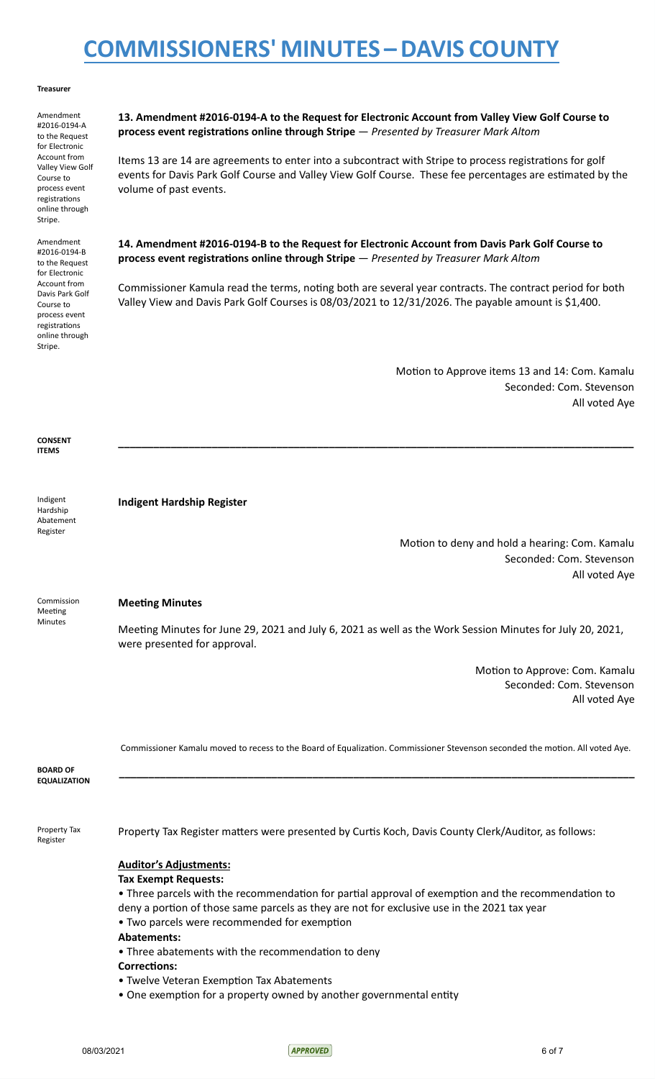#### **Treasurer**

Amendment #2016-0194-A to the Request for Electronic Account from Valley View Golf Course to process event registrations online through Stripe.

Amendment #2016-0194-B to the Request for Electronic Account from Davis Park Golf Course to process event registrations online through Stripe.

**13. Amendment #2016-0194-A to the Request for Electronic Account from Valley View Golf Course to process event registrations online through Stripe** — *Presented by Treasurer Mark Altom*

Items 13 are 14 are agreements to enter into a subcontract with Stripe to process registrations for golf events for Davis Park Golf Course and Valley View Golf Course. These fee percentages are estimated by the volume of past events.

**14. Amendment #2016-0194-B to the Request for Electronic Account from Davis Park Golf Course to process event registrations online through Stripe** — *Presented by Treasurer Mark Altom*

Commissioner Kamula read the terms, noting both are several year contracts. The contract period for both Valley View and Davis Park Golf Courses is 08/03/2021 to 12/31/2026. The payable amount is \$1,400.

**\_\_\_\_\_\_\_\_\_\_\_\_\_\_\_\_\_\_\_\_\_\_\_\_\_\_\_\_\_\_\_\_\_\_\_\_\_\_\_\_\_\_\_\_\_\_\_\_\_\_\_\_\_\_\_\_\_\_\_\_\_\_\_\_\_\_\_\_\_\_\_\_\_\_\_\_\_\_\_\_\_\_\_\_\_\_\_\_**

Motion to Approve items 13 and 14: Com. Kamalu Seconded: Com. Stevenson All voted Aye

**CONSENT ITEMS**

Indigent Hardship Abatement Register

Meeting Minutes

**Indigent Hardship Register**

Motion to deny and hold a hearing: Com. Kamalu Seconded: Com. Stevenson All voted Aye

# Commission

**Meeting Minutes**

Meeting Minutes for June 29, 2021 and July 6, 2021 as well as the Work Session Minutes for July 20, 2021, were presented for approval.

> Motion to Approve: Com. Kamalu Seconded: Com. Stevenson All voted Aye

Commissioner Kamalu moved to recess to the Board of Equalization. Commissioner Stevenson seconded the motion. All voted Aye.

**\_\_\_\_\_\_\_\_\_\_\_\_\_\_\_\_\_\_\_\_\_\_\_\_\_\_\_\_\_\_\_\_\_\_\_\_\_\_\_\_\_\_\_\_\_\_\_\_\_\_\_\_\_\_\_\_\_\_\_\_\_\_\_\_\_\_\_\_\_\_\_\_\_\_\_\_\_\_\_\_\_\_\_\_\_\_\_\_**

**BOARD OF EQUALIZATION**

Property Tax Register

Property Tax Register matters were presented by Curtis Koch, Davis County Clerk/Auditor, as follows:

# **Auditor's Adjustments:**

# **Tax Exempt Requests:**

• Three parcels with the recommendation for partial approval of exemption and the recommendation to deny a portion of those same parcels as they are not for exclusive use in the 2021 tax year

- Two parcels were recommended for exemption
- **Abatements:**
- Three abatements with the recommendation to deny
- **Corrections:**
- Twelve Veteran Exemption Tax Abatements
- One exemption for a property owned by another governmental entity

08/03/2021 6 of 7